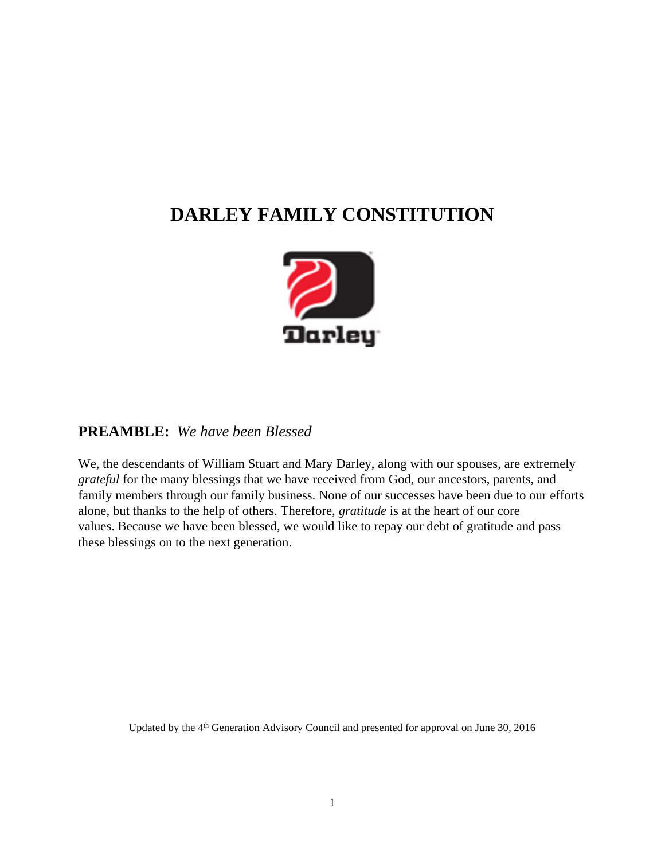# **DARLEY FAMILY CONSTITUTION**



### **PREAMBLE:** *We have been Blessed*

We, the descendants of William Stuart and Mary Darley, along with our spouses, are extremely *grateful* for the many blessings that we have received from God, our ancestors, parents, and family members through our family business. None of our successes have been due to our efforts alone, but thanks to the help of others. Therefore, *gratitude* is at the heart of our core values. Because we have been blessed, we would like to repay our debt of gratitude and pass these blessings on to the next generation.

Updated by the 4<sup>th</sup> Generation Advisory Council and presented for approval on June 30, 2016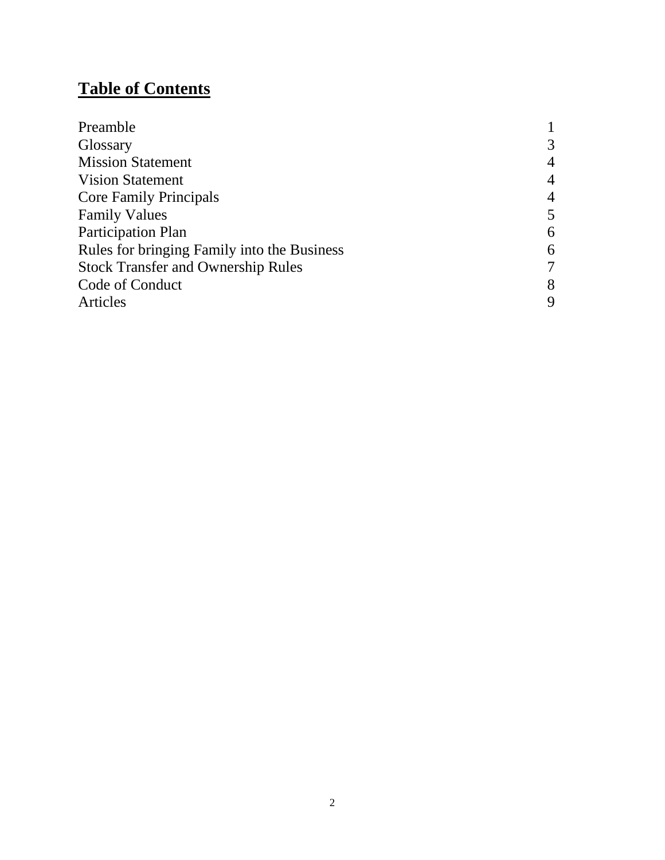# **Table of Contents**

| Preamble                                    |                |
|---------------------------------------------|----------------|
| Glossary                                    | 3              |
| <b>Mission Statement</b>                    | $\overline{4}$ |
| <b>Vision Statement</b>                     | $\overline{4}$ |
| <b>Core Family Principals</b>               | $\overline{4}$ |
| <b>Family Values</b>                        | 5              |
| <b>Participation Plan</b>                   | 6              |
| Rules for bringing Family into the Business | 6              |
| <b>Stock Transfer and Ownership Rules</b>   | 7              |
| Code of Conduct                             | 8              |
| <b>Articles</b>                             | 9              |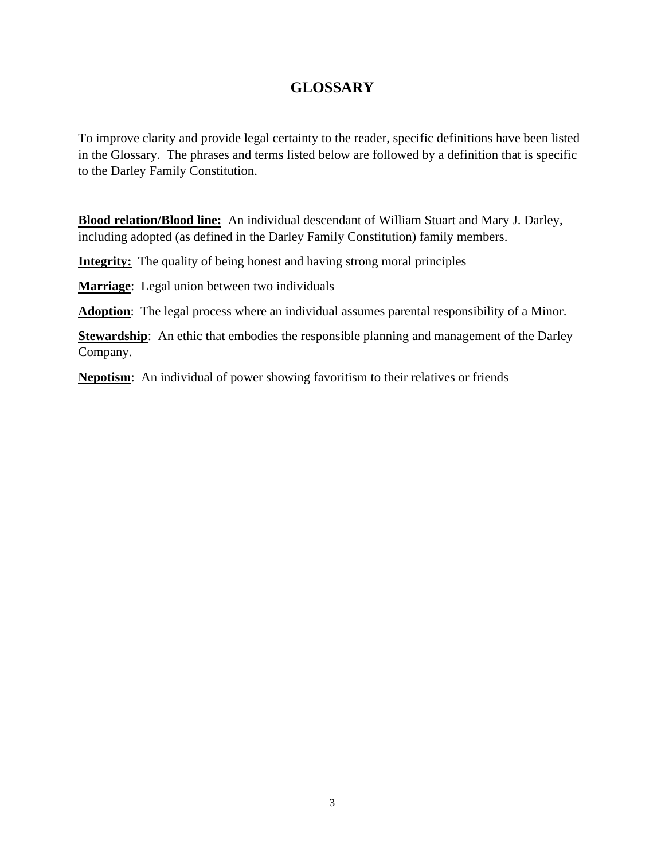# **GLOSSARY**

To improve clarity and provide legal certainty to the reader, specific definitions have been listed in the Glossary. The phrases and terms listed below are followed by a definition that is specific to the Darley Family Constitution.

**Blood relation/Blood line:** An individual descendant of William Stuart and Mary J. Darley, including adopted (as defined in the Darley Family Constitution) family members.

**Integrity:** The quality of being honest and having strong moral principles

**Marriage**: Legal union between two individuals

**Adoption**: The legal process where an individual assumes parental responsibility of a Minor.

**Stewardship**: An ethic that embodies the responsible planning and management of the Darley Company.

**Nepotism**: An individual of power showing favoritism to their relatives or friends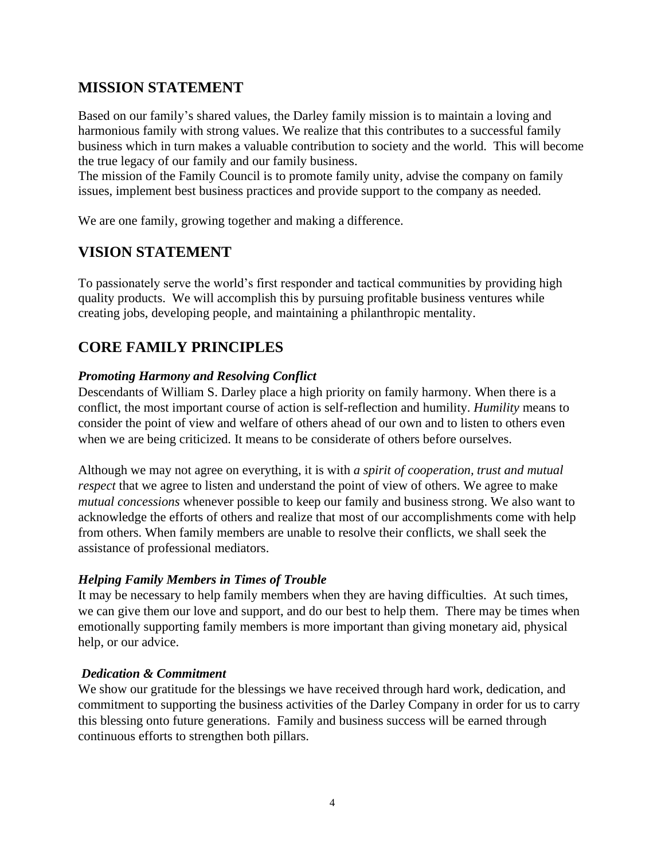# **MISSION STATEMENT**

Based on our family's shared values, the Darley family mission is to maintain a loving and harmonious family with strong values. We realize that this contributes to a successful family business which in turn makes a valuable contribution to society and the world. This will become the true legacy of our family and our family business.

The mission of the Family Council is to promote family unity, advise the company on family issues, implement best business practices and provide support to the company as needed.

We are one family, growing together and making a difference.

# **VISION STATEMENT**

To passionately serve the world's first responder and tactical communities by providing high quality products. We will accomplish this by pursuing profitable business ventures while creating jobs, developing people, and maintaining a philanthropic mentality.

# **CORE FAMILY PRINCIPLES**

### *Promoting Harmony and Resolving Conflict*

Descendants of William S. Darley place a high priority on family harmony. When there is a conflict, the most important course of action is self-reflection and humility. *Humility* means to consider the point of view and welfare of others ahead of our own and to listen to others even when we are being criticized. It means to be considerate of others before ourselves.

Although we may not agree on everything, it is with *a spirit of cooperation, trust and mutual respect* that we agree to listen and understand the point of view of others. We agree to make *mutual concessions* whenever possible to keep our family and business strong. We also want to acknowledge the efforts of others and realize that most of our accomplishments come with help from others. When family members are unable to resolve their conflicts, we shall seek the assistance of professional mediators.

### *Helping Family Members in Times of Trouble*

It may be necessary to help family members when they are having difficulties. At such times, we can give them our love and support, and do our best to help them. There may be times when emotionally supporting family members is more important than giving monetary aid, physical help, or our advice.

### *Dedication & Commitment*

We show our gratitude for the blessings we have received through hard work, dedication, and commitment to supporting the business activities of the Darley Company in order for us to carry this blessing onto future generations. Family and business success will be earned through continuous efforts to strengthen both pillars.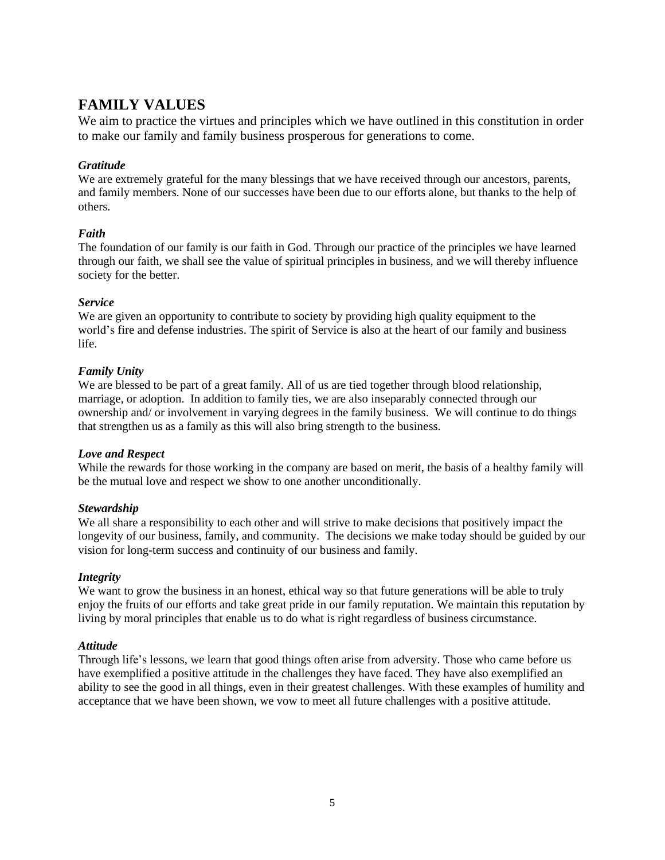# **FAMILY VALUES**

We aim to practice the virtues and principles which we have outlined in this constitution in order to make our family and family business prosperous for generations to come.

#### *Gratitude*

We are extremely grateful for the many blessings that we have received through our ancestors, parents, and family members. None of our successes have been due to our efforts alone, but thanks to the help of others.

#### *Faith*

The foundation of our family is our faith in God. Through our practice of the principles we have learned through our faith, we shall see the value of spiritual principles in business, and we will thereby influence society for the better.

#### *Service*

We are given an opportunity to contribute to society by providing high quality equipment to the world's fire and defense industries. The spirit of Service is also at the heart of our family and business life.

#### *Family Unity*

We are blessed to be part of a great family. All of us are tied together through blood relationship, marriage, or adoption. In addition to family ties, we are also inseparably connected through our ownership and/ or involvement in varying degrees in the family business. We will continue to do things that strengthen us as a family as this will also bring strength to the business.

#### *Love and Respect*

While the rewards for those working in the company are based on merit, the basis of a healthy family will be the mutual love and respect we show to one another unconditionally.

#### *Stewardship*

We all share a responsibility to each other and will strive to make decisions that positively impact the longevity of our business, family, and community. The decisions we make today should be guided by our vision for long-term success and continuity of our business and family.

#### *Integrity*

We want to grow the business in an honest, ethical way so that future generations will be able to truly enjoy the fruits of our efforts and take great pride in our family reputation. We maintain this reputation by living by moral principles that enable us to do what is right regardless of business circumstance.

#### *Attitude*

Through life's lessons, we learn that good things often arise from adversity. Those who came before us have exemplified a positive attitude in the challenges they have faced. They have also exemplified an ability to see the good in all things, even in their greatest challenges. With these examples of humility and acceptance that we have been shown, we vow to meet all future challenges with a positive attitude.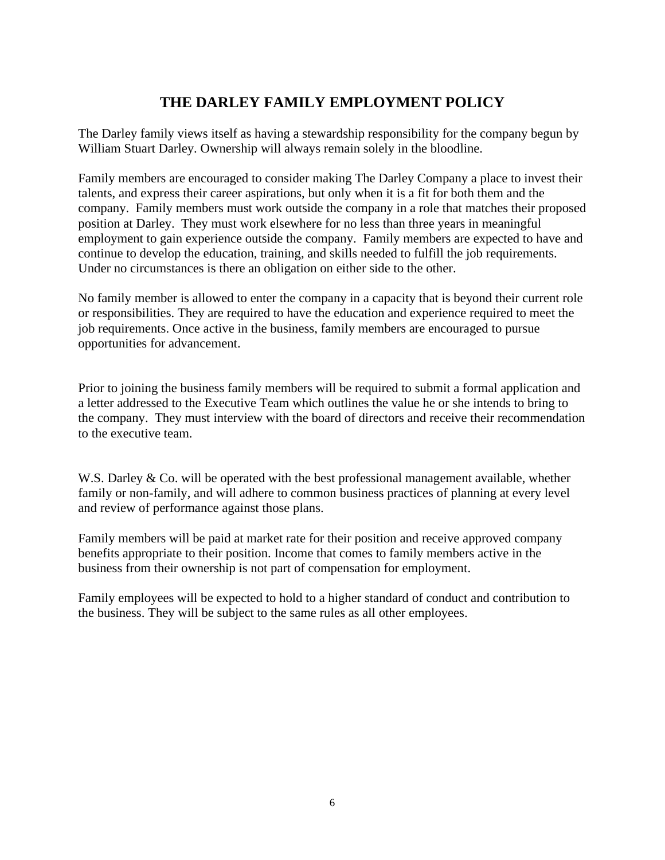# **THE DARLEY FAMILY EMPLOYMENT POLICY**

The Darley family views itself as having a stewardship responsibility for the company begun by William Stuart Darley. Ownership will always remain solely in the bloodline.

Family members are encouraged to consider making The Darley Company a place to invest their talents, and express their career aspirations, but only when it is a fit for both them and the company. Family members must work outside the company in a role that matches their proposed position at Darley. They must work elsewhere for no less than three years in meaningful employment to gain experience outside the company. Family members are expected to have and continue to develop the education, training, and skills needed to fulfill the job requirements. Under no circumstances is there an obligation on either side to the other.

No family member is allowed to enter the company in a capacity that is beyond their current role or responsibilities. They are required to have the education and experience required to meet the job requirements. Once active in the business, family members are encouraged to pursue opportunities for advancement.

Prior to joining the business family members will be required to submit a formal application and a letter addressed to the Executive Team which outlines the value he or she intends to bring to the company. They must interview with the board of directors and receive their recommendation to the executive team.

W.S. Darley & Co. will be operated with the best professional management available, whether family or non-family, and will adhere to common business practices of planning at every level and review of performance against those plans.

Family members will be paid at market rate for their position and receive approved company benefits appropriate to their position. Income that comes to family members active in the business from their ownership is not part of compensation for employment.

Family employees will be expected to hold to a higher standard of conduct and contribution to the business. They will be subject to the same rules as all other employees.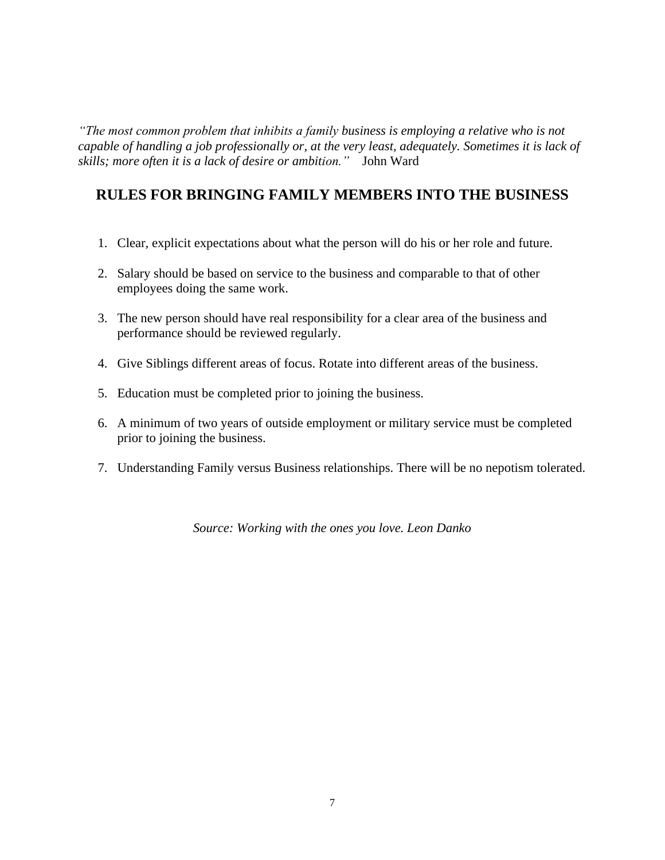*"The most common problem that inhibits a family business is employing a relative who is not capable of handling a job professionally or, at the very least, adequately. Sometimes it is lack of skills; more often it is a lack of desire or ambition."* John Ward

# **RULES FOR BRINGING FAMILY MEMBERS INTO THE BUSINESS**

- 1. Clear, explicit expectations about what the person will do his or her role and future.
- 2. Salary should be based on service to the business and comparable to that of other employees doing the same work.
- 3. The new person should have real responsibility for a clear area of the business and performance should be reviewed regularly.
- 4. Give Siblings different areas of focus. Rotate into different areas of the business.
- 5. Education must be completed prior to joining the business.
- 6. A minimum of two years of outside employment or military service must be completed prior to joining the business.
- 7. Understanding Family versus Business relationships. There will be no nepotism tolerated.

*Source: Working with the ones you love. Leon Danko*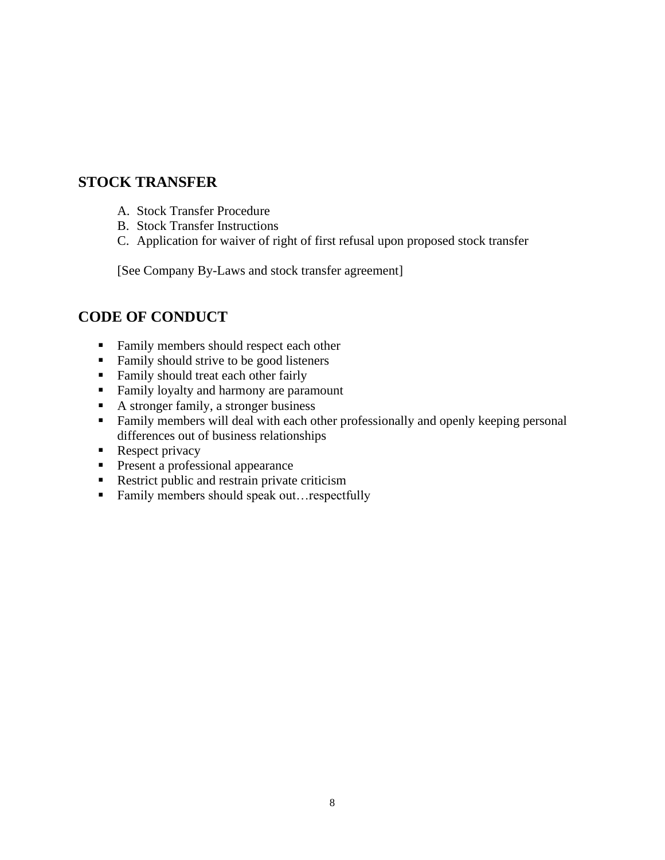## **STOCK TRANSFER**

- A. Stock Transfer Procedure
- B. Stock Transfer Instructions
- C. Application for waiver of right of first refusal upon proposed stock transfer

[See Company By-Laws and stock transfer agreement]

# **CODE OF CONDUCT**

- Family members should respect each other
- Family should strive to be good listeners
- Family should treat each other fairly
- Family loyalty and harmony are paramount
- A stronger family, a stronger business
- Family members will deal with each other professionally and openly keeping personal differences out of business relationships
- Respect privacy
- **•** Present a professional appearance
- Restrict public and restrain private criticism
- Family members should speak out…respectfully